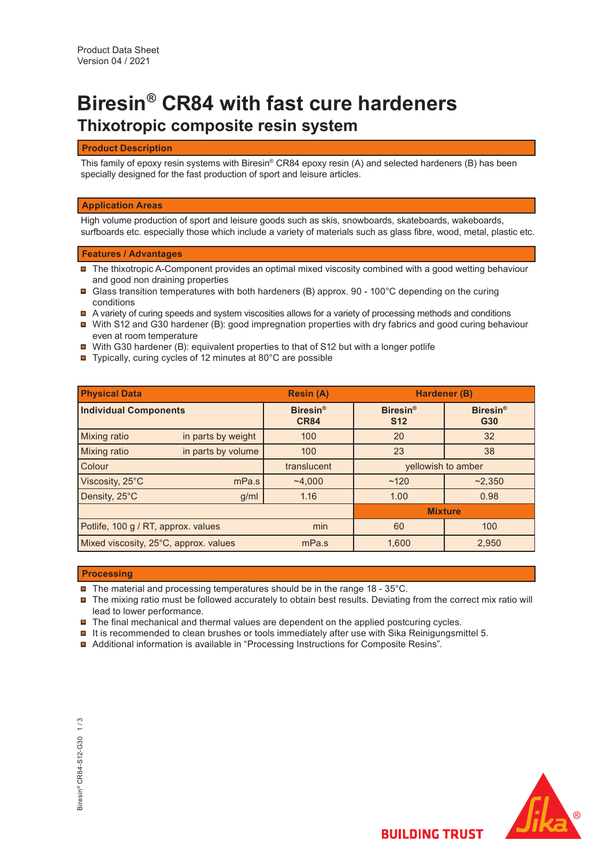# **Thixotropic composite resin system Biresin® CR84 with fast cure hardeners**

# **Product Description**

This family of epoxy resin systems with Biresin® CR84 epoxy resin (A) and selected hardeners (B) has been specially designed for the fast production of sport and leisure articles.

#### **Application Areas**

High volume production of sport and leisure goods such as skis, snowboards, skateboards, wakeboards, surfboards etc. especially those which include a variety of materials such as glass fibre, wood, metal, plastic etc.

## **Features / Advantages**

- The thixotropic A-Component provides an optimal mixed viscosity combined with a good wetting behaviour and good non draining properties
- Glass transition temperatures with both hardeners (B) approx. 90 100°C depending on the curing conditions
- A variety of curing speeds and system viscosities allows for a variety of processing methods and conditions
- With S12 and G30 hardener (B): good impregnation properties with dry fabrics and good curing behaviour even at room temperature
- $\blacksquare$  With G30 hardener (B): equivalent properties to that of S12 but with a longer potlife
- Typically, curing cycles of 12 minutes at 80°C are possible

| <b>Physical Data</b>                  |                    | <b>Resin (A)</b>               | Hardener (B)                  |                        |  |
|---------------------------------------|--------------------|--------------------------------|-------------------------------|------------------------|--|
| <b>Individual Components</b>          |                    | <b>Biresin®</b><br><b>CR84</b> | <b>Biresin®</b><br><b>S12</b> | <b>Biresin®</b><br>G30 |  |
| <b>Mixing ratio</b>                   | in parts by weight | 100                            | 20                            | 32                     |  |
| <b>Mixing ratio</b>                   | in parts by volume | 100                            | 23                            | 38                     |  |
| Colour                                |                    | translucent                    | yellowish to amber            |                        |  |
| Viscosity, 25°C                       | mPa.s              | ~1,000                         | ~120                          | ~2,350                 |  |
| Density, 25°C                         | g/ml               | 1.16                           | 1.00                          | 0.98                   |  |
|                                       |                    | <b>Mixture</b>                 |                               |                        |  |
| Potlife, 100 g / RT, approx. values   |                    | min                            | 60                            | 100                    |  |
| Mixed viscosity, 25°C, approx. values |                    | mPa.s                          | 1.600                         | 2,950                  |  |

## **Processing**

 $\blacksquare$  The material and processing temperatures should be in the range 18 - 35°C.

- $\blacksquare$  The mixing ratio must be followed accurately to obtain best results. Deviating from the correct mix ratio will lead to lower performance.
- $\blacksquare$  The final mechanical and thermal values are dependent on the applied postcuring cycles.
- $\blacksquare$  It is recommended to clean brushes or tools immediately after use with Sika Reinigungsmittel 5.
- Additional information is available in "Processing Instructions for Composite Resins".

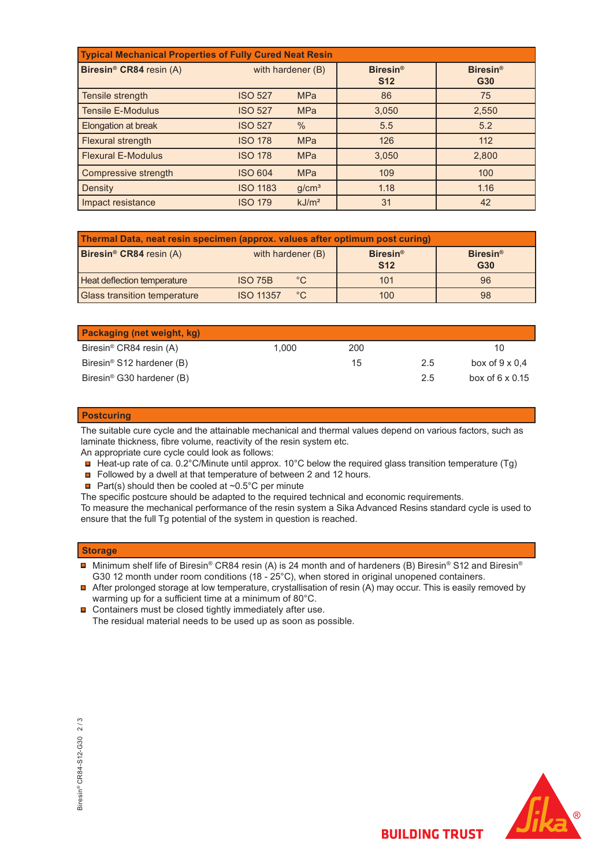| <b>Typical Mechanical Properties of Fully Cured Neat Resin</b> |                   |                   |                               |                        |  |  |  |
|----------------------------------------------------------------|-------------------|-------------------|-------------------------------|------------------------|--|--|--|
| Biresin <sup>®</sup> CR84 resin (A)                            | with hardener (B) |                   | <b>Biresin®</b><br><b>S12</b> | <b>Biresin®</b><br>G30 |  |  |  |
| Tensile strength                                               | <b>ISO 527</b>    | <b>MPa</b>        | 86                            | 75                     |  |  |  |
| <b>Tensile E-Modulus</b>                                       | <b>ISO 527</b>    | <b>MPa</b>        | 3,050                         | 2,550                  |  |  |  |
| Elongation at break                                            | <b>ISO 527</b>    | $\frac{0}{0}$     | 5.5                           | 5.2                    |  |  |  |
| Flexural strength                                              | <b>ISO 178</b>    | <b>MPa</b>        | 126                           | 112                    |  |  |  |
| <b>Flexural E-Modulus</b>                                      | <b>ISO 178</b>    | <b>MPa</b>        | 3,050                         | 2,800                  |  |  |  |
| Compressive strength                                           | <b>ISO 604</b>    | <b>MPa</b>        | 109                           | 100                    |  |  |  |
| Density                                                        | <b>ISO 1183</b>   | g/cm <sup>3</sup> | 1.18                          | 1.16                   |  |  |  |
| Impact resistance                                              | <b>ISO 179</b>    | kJ/m <sup>2</sup> | 31                            | 42                     |  |  |  |

| Thermal Data, neat resin specimen (approx. values after optimum post curing) |                   |             |                               |                        |  |  |
|------------------------------------------------------------------------------|-------------------|-------------|-------------------------------|------------------------|--|--|
| Biresin <sup>®</sup> CR84 resin (A)                                          | with hardener (B) |             | <b>Biresin®</b><br><b>S12</b> | <b>Biresin®</b><br>G30 |  |  |
| <b>Heat deflection temperature</b>                                           | <b>ISO 75B</b>    | $^{\circ}C$ | 101                           | 96                     |  |  |
| <b>Glass transition temperature</b>                                          | <b>ISO 11357</b>  | $^{\circ}C$ | 100                           | 98                     |  |  |

| <b>Packaging (net weight, kg)</b>     |       |     |     |                        |
|---------------------------------------|-------|-----|-----|------------------------|
| Biresin <sup>®</sup> CR84 resin (A)   | 1.000 | 200 |     | 10                     |
| Biresin <sup>®</sup> S12 hardener (B) |       | 15  | 2.5 | box of $9 \times 0.4$  |
| Biresin <sup>®</sup> G30 hardener (B) |       |     | 2.5 | box of $6 \times 0.15$ |

# **Postcuring**

The suitable cure cycle and the attainable mechanical and thermal values depend on various factors, such as laminate thickness, fibre volume, reactivity of the resin system etc.

An appropriate cure cycle could look as follows:

■ Heat-up rate of ca. 0.2°C/Minute until approx. 10°C below the required glass transition temperature (Tg)

Followed by a dwell at that temperature of between 2 and 12 hours.

Part(s) should then be cooled at  $\sim 0.5^{\circ}$ C per minute

The specific postcure should be adapted to the required technical and economic requirements.

To measure the mechanical performance of the resin system a Sika Advanced Resins standard cycle is used to ensure that the full Tg potential of the system in question is reached.

# **Storage**

- Minimum shelf life of Biresin® CR84 resin (A) is 24 month and of hardeners (B) Biresin® S12 and Biresin® G30 12 month under room conditions (18 - 25°C), when stored in original unopened containers.
- After prolonged storage at low temperature, crystallisation of resin (A) may occur. This is easily removed by warming up for a sufficient time at a minimum of 80°C.
- $\blacksquare$ Containers must be closed tightly immediately after use. The residual material needs to be used up as soon as possible.